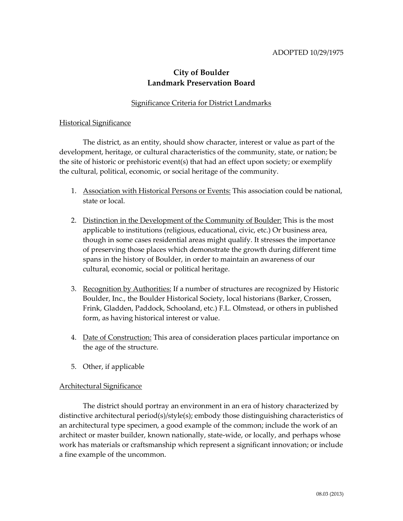## ADOPTED 10/29/1975

# **City of Boulder Landmark Preservation Board**

# Significance Criteria for District Landmarks

#### Historical Significance

The district, as an entity, should show character, interest or value as part of the development, heritage, or cultural characteristics of the community, state, or nation; be the site of historic or prehistoric event(s) that had an effect upon society; or exemplify the cultural, political, economic, or social heritage of the community.

- 1. Association with Historical Persons or Events: This association could be national, state or local.
- 2. Distinction in the Development of the Community of Boulder: This is the most applicable to institutions (religious, educational, civic, etc.) Or business area, though in some cases residential areas might qualify. It stresses the importance of preserving those places which demonstrate the growth during different time spans in the history of Boulder, in order to maintain an awareness of our cultural, economic, social or political heritage.
- 3. Recognition by Authorities: If a number of structures are recognized by Historic Boulder, Inc., the Boulder Historical Society, local historians (Barker, Crossen, Frink, Gladden, Paddock, Schooland, etc.) F.L. Olmstead, or others in published form, as having historical interest or value.
- 4. Date of Construction: This area of consideration places particular importance on the age of the structure.
- 5. Other, if applicable

## Architectural Significance

The district should portray an environment in an era of history characterized by distinctive architectural period(s)/style(s); embody those distinguishing characteristics of an architectural type specimen, a good example of the common; include the work of an architect or master builder, known nationally, state-wide, or locally, and perhaps whose work has materials or craftsmanship which represent a significant innovation; or include a fine example of the uncommon.